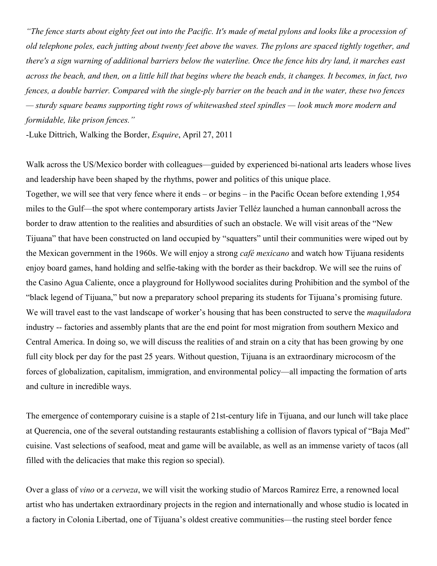*"The fence starts about eighty feet out into the Pacific. It's made of metal pylons and looks like a procession of old telephone poles, each jutting about twenty feet above the waves. The pylons are spaced tightly together, and there's a sign warning of additional barriers below the waterline. Once the fence hits dry land, it marches east across the beach, and then, on a little hill that begins where the beach ends, it changes. It becomes, in fact, two fences, a double barrier. Compared with the single-ply barrier on the beach and in the water, these two fences — sturdy square beams supporting tight rows of whitewashed steel spindles — look much more modern and formidable, like prison fences."*

-Luke Dittrich, Walking the Border, *Esquire*, April 27, 2011

Walk across the US/Mexico border with colleagues—guided by experienced bi-national arts leaders whose lives and leadership have been shaped by the rhythms, power and politics of this unique place.

Together, we will see that very fence where it ends – or begins – in the Pacific Ocean before extending 1,954 miles to the Gulf—the spot where contemporary artists Javier Telléz launched a human cannonball across the border to draw attention to the realities and absurdities of such an obstacle. We will visit areas of the "New Tijuana" that have been constructed on land occupied by "squatters" until their communities were wiped out by the Mexican government in the 1960s. We will enjoy a strong *café mexicano* and watch how Tijuana residents enjoy board games, hand holding and selfie-taking with the border as their backdrop. We will see the ruins of the Casino Agua Caliente, once a playground for Hollywood socialites during Prohibition and the symbol of the "black legend of Tijuana," but now a preparatory school preparing its students for Tijuana's promising future. We will travel east to the vast landscape of worker's housing that has been constructed to serve the *maquiladora* industry -- factories and assembly plants that are the end point for most migration from southern Mexico and Central America. In doing so, we will discuss the realities of and strain on a city that has been growing by one full city block per day for the past 25 years. Without question, Tijuana is an extraordinary microcosm of the forces of globalization, capitalism, immigration, and environmental policy—all impacting the formation of arts and culture in incredible ways.

The emergence of contemporary cuisine is a staple of 21st-century life in Tijuana, and our lunch will take place at Querencia, one of the several outstanding restaurants establishing a collision of flavors typical of "Baja Med" cuisine. Vast selections of seafood, meat and game will be available, as well as an immense variety of tacos (all filled with the delicacies that make this region so special).

Over a glass of *vino* or a *cerveza*, we will visit the working studio of Marcos Ramirez Erre, a renowned local artist who has undertaken extraordinary projects in the region and internationally and whose studio is located in a factory in Colonia Libertad, one of Tijuana's oldest creative communities—the rusting steel border fence